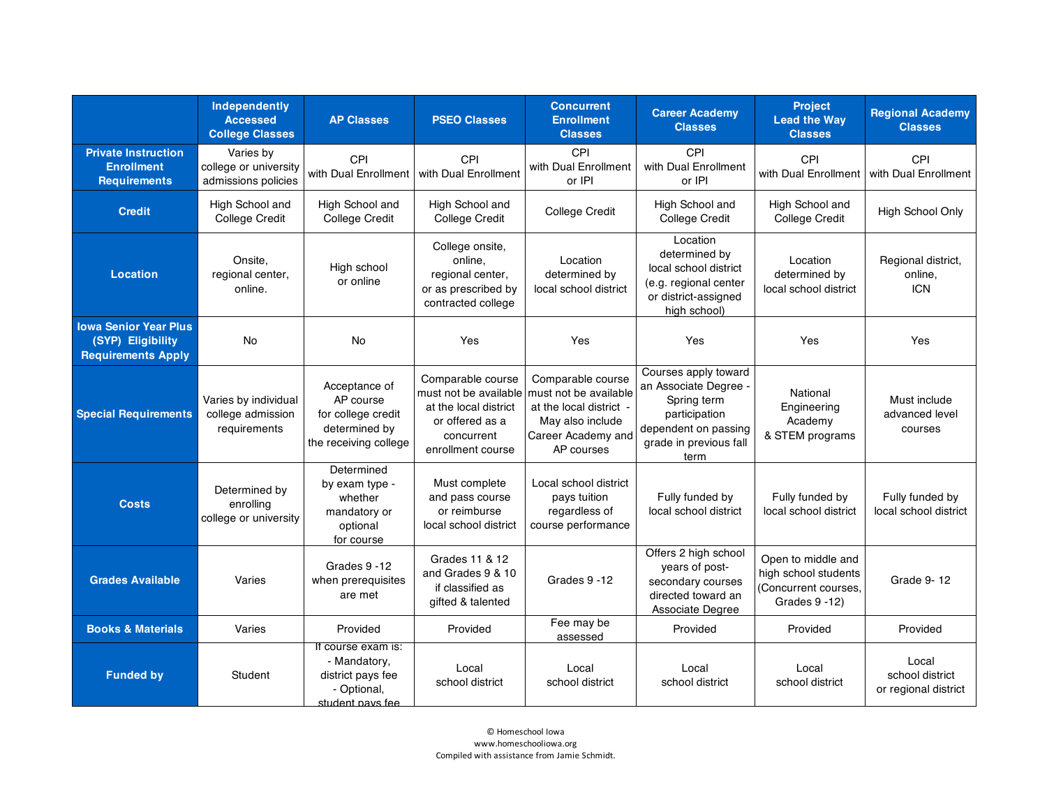|                                                                                | <b>Independently</b><br><b>Accessed</b><br><b>College Classes</b> | <b>AP Classes</b>                                                                          | <b>PSEO Classes</b>                                                                                                       | <b>Concurrent</b><br><b>Enrollment</b><br><b>Classes</b>                                                                      | <b>Career Academy</b><br><b>Classes</b>                                                                                                 | Project<br><b>Lead the Way</b><br><b>Classes</b>                                     | <b>Regional Academy</b><br><b>Classes</b>        |
|--------------------------------------------------------------------------------|-------------------------------------------------------------------|--------------------------------------------------------------------------------------------|---------------------------------------------------------------------------------------------------------------------------|-------------------------------------------------------------------------------------------------------------------------------|-----------------------------------------------------------------------------------------------------------------------------------------|--------------------------------------------------------------------------------------|--------------------------------------------------|
| <b>Private Instruction</b><br><b>Enrollment</b><br><b>Requirements</b>         | Varies by<br>college or university<br>admissions policies         | CPI<br>with Dual Enrollment                                                                | CPI<br>with Dual Enrollment                                                                                               | <b>CPI</b><br>with Dual Enrollment<br>or IPI                                                                                  | CPI<br>with Dual Enrollment<br>or IPI                                                                                                   | CPI<br>with Dual Enrollment                                                          | CPI<br>with Dual Enrollment                      |
| <b>Credit</b>                                                                  | High School and<br>College Credit                                 | High School and<br>College Credit                                                          | High School and<br>College Credit                                                                                         | College Credit                                                                                                                | High School and<br><b>College Credit</b>                                                                                                | High School and<br>College Credit                                                    | High School Only                                 |
| <b>Location</b>                                                                | Onsite,<br>regional center,<br>online.                            | High school<br>or online                                                                   | College onsite,<br>online,<br>regional center,<br>or as prescribed by<br>contracted college                               | Location<br>determined by<br>local school district                                                                            | Location<br>determined by<br>local school district<br>(e.g. regional center<br>or district-assigned<br>high school)                     | Location<br>determined by<br>local school district                                   | Regional district,<br>online,<br><b>ICN</b>      |
| <b>Iowa Senior Year Plus</b><br>(SYP) Eligibility<br><b>Requirements Apply</b> | No                                                                | <b>No</b>                                                                                  | Yes                                                                                                                       | Yes                                                                                                                           | Yes                                                                                                                                     | Yes                                                                                  | Yes                                              |
| <b>Special Requirements</b>                                                    | Varies by individual<br>college admission<br>requirements         | Acceptance of<br>AP course<br>for college credit<br>determined by<br>the receiving college | Comparable course<br>must not be available<br>at the local district<br>or offered as a<br>concurrent<br>enrollment course | Comparable course<br>must not be available<br>at the local district -<br>May also include<br>Career Academy and<br>AP courses | Courses apply toward<br>an Associate Degree -<br>Spring term<br>participation<br>dependent on passing<br>grade in previous fall<br>term | National<br>Engineering<br>Academy<br>& STEM programs                                | Must include<br>advanced level<br>courses        |
| <b>Costs</b>                                                                   | Determined by<br>enrolling<br>college or university               | Determined<br>by exam type -<br>whether<br>mandatory or<br>optional<br>for course          | Must complete<br>and pass course<br>or reimburse<br>local school district                                                 | Local school district<br>pays tuition<br>regardless of<br>course performance                                                  | Fully funded by<br>local school district                                                                                                | Fully funded by<br>local school district                                             | Fully funded by<br>local school district         |
| <b>Grades Available</b>                                                        | Varies                                                            | Grades 9 -12<br>when prerequisites<br>are met                                              | Grades 11 & 12<br>and Grades 9 & 10<br>if classified as<br>gifted & talented                                              | Grades 9 -12                                                                                                                  | Offers 2 high school<br>years of post-<br>secondary courses<br>directed toward an<br>Associate Degree                                   | Open to middle and<br>high school students<br>(Concurrent courses,<br>Grades 9 - 12) | Grade 9-12                                       |
| <b>Books &amp; Materials</b>                                                   | Varies                                                            | Provided                                                                                   | Provided                                                                                                                  | Fee may be<br>assessed                                                                                                        | Provided                                                                                                                                | Provided                                                                             | Provided                                         |
| <b>Funded by</b>                                                               | Student                                                           | If course exam is:<br>- Mandatory,<br>district pays fee<br>- Optional,<br>student pays fee | Local<br>school district                                                                                                  | Local<br>school district                                                                                                      | Local<br>school district                                                                                                                | Local<br>school district                                                             | Local<br>school district<br>or regional district |